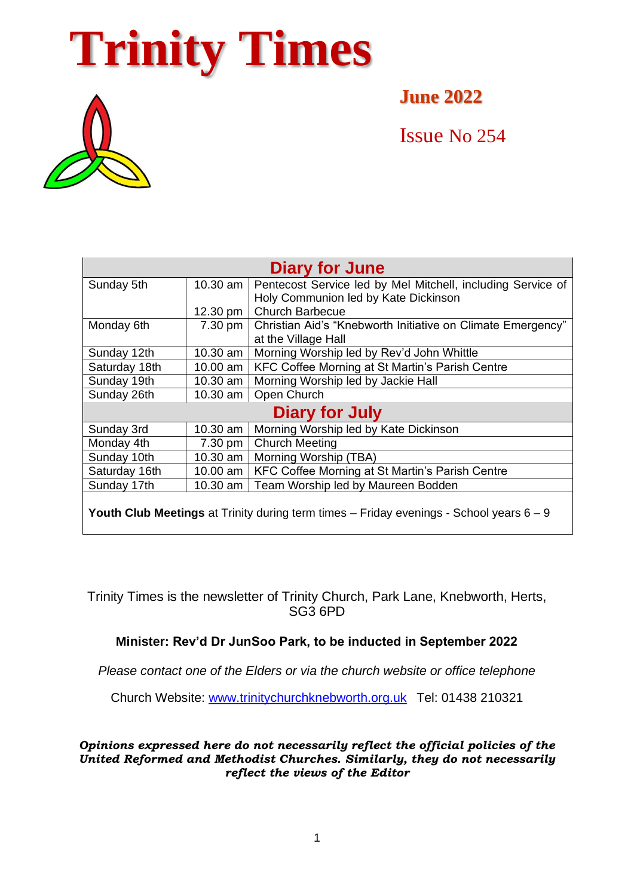# **Trinity Times**



**June 2022**

Issue No 254

| <b>Diary for June</b>                                                                              |           |                                                             |
|----------------------------------------------------------------------------------------------------|-----------|-------------------------------------------------------------|
| Sunday 5th                                                                                         | 10.30 am  | Pentecost Service led by Mel Mitchell, including Service of |
|                                                                                                    |           | Holy Communion led by Kate Dickinson                        |
|                                                                                                    | 12.30 pm  | <b>Church Barbecue</b>                                      |
| Monday 6th                                                                                         | 7.30 pm   | Christian Aid's "Knebworth Initiative on Climate Emergency" |
|                                                                                                    |           | at the Village Hall                                         |
| Sunday 12th                                                                                        | 10.30 am  | Morning Worship led by Rev'd John Whittle                   |
| Saturday 18th                                                                                      | 10.00 am  | KFC Coffee Morning at St Martin's Parish Centre             |
| Sunday 19th                                                                                        | 10.30 am  | Morning Worship led by Jackie Hall                          |
| Sunday 26th                                                                                        | 10.30 am  | Open Church                                                 |
| Diary for July                                                                                     |           |                                                             |
| Sunday 3rd                                                                                         | 10.30 am  | Morning Worship led by Kate Dickinson                       |
| Monday 4th                                                                                         | $7.30$ pm | <b>Church Meeting</b>                                       |
| Sunday 10th                                                                                        | 10.30 am  | Morning Worship (TBA)                                       |
| Saturday 16th                                                                                      | 10.00 am  | KFC Coffee Morning at St Martin's Parish Centre             |
| Sunday 17th                                                                                        | 10.30 am  | Team Worship led by Maureen Bodden                          |
| <b>Youth Club Meetings</b> at Trinity during term times $-$ Friday evenings - School years $6 - 9$ |           |                                                             |

Trinity Times is the newsletter of Trinity Church, Park Lane, Knebworth, Herts, SG3 6PD

## **Minister: Rev'd Dr JunSoo Park, to be inducted in September 2022**

*Please contact one of the Elders or via the church website or office telephone*

Church Website: [www.trinitychurchknebworth.org.uk](http://www.trinitychurchknebworth.org.uk/) Tel: 01438 210321

*Opinions expressed here do not necessarily reflect the official policies of the United Reformed and Methodist Churches. Similarly, they do not necessarily reflect the views of the Editor*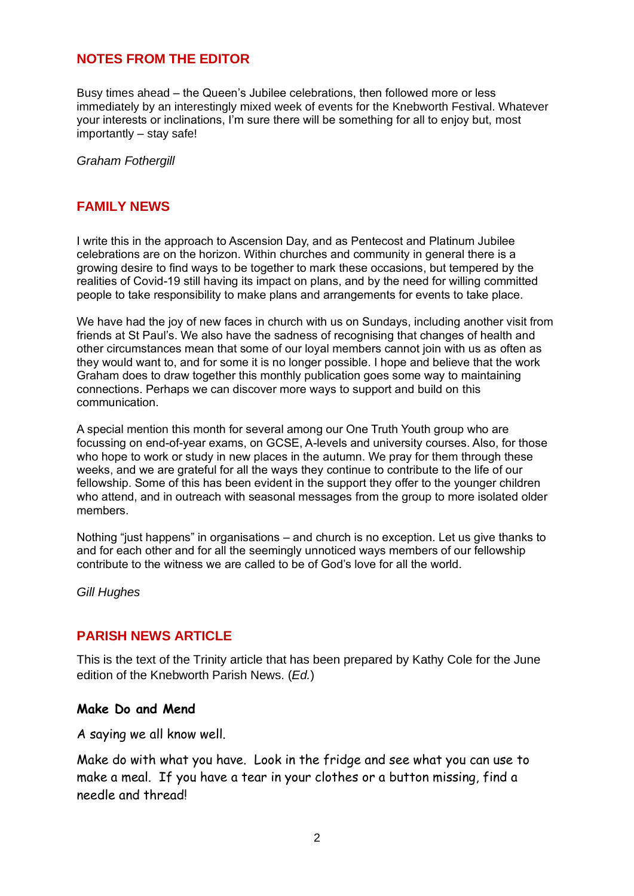## **NOTES FROM THE EDITOR**

Busy times ahead – the Queen's Jubilee celebrations, then followed more or less immediately by an interestingly mixed week of events for the Knebworth Festival. Whatever your interests or inclinations, I'm sure there will be something for all to enjoy but, most importantly – stay safe!

*Graham Fothergill*

## **FAMILY NEWS**

I write this in the approach to Ascension Day, and as Pentecost and Platinum Jubilee celebrations are on the horizon. Within churches and community in general there is a growing desire to find ways to be together to mark these occasions, but tempered by the realities of Covid-19 still having its impact on plans, and by the need for willing committed people to take responsibility to make plans and arrangements for events to take place.

We have had the joy of new faces in church with us on Sundays, including another visit from friends at St Paul's. We also have the sadness of recognising that changes of health and other circumstances mean that some of our loyal members cannot join with us as often as they would want to, and for some it is no longer possible. I hope and believe that the work Graham does to draw together this monthly publication goes some way to maintaining connections. Perhaps we can discover more ways to support and build on this communication.

A special mention this month for several among our One Truth Youth group who are focussing on end-of-year exams, on GCSE, A-levels and university courses. Also, for those who hope to work or study in new places in the autumn. We pray for them through these weeks, and we are grateful for all the ways they continue to contribute to the life of our fellowship. Some of this has been evident in the support they offer to the younger children who attend, and in outreach with seasonal messages from the group to more isolated older members.

Nothing "just happens" in organisations – and church is no exception. Let us give thanks to and for each other and for all the seemingly unnoticed ways members of our fellowship contribute to the witness we are called to be of God's love for all the world.

*Gill Hughes*

## **PARISH NEWS ARTICLE**

This is the text of the Trinity article that has been prepared by Kathy Cole for the June edition of the Knebworth Parish News. (*Ed.*)

#### **Make Do and Mend**

A saying we all know well.

Make do with what you have. Look in the fridge and see what you can use to make a meal. If you have a tear in your clothes or a button missing, find a needle and thread!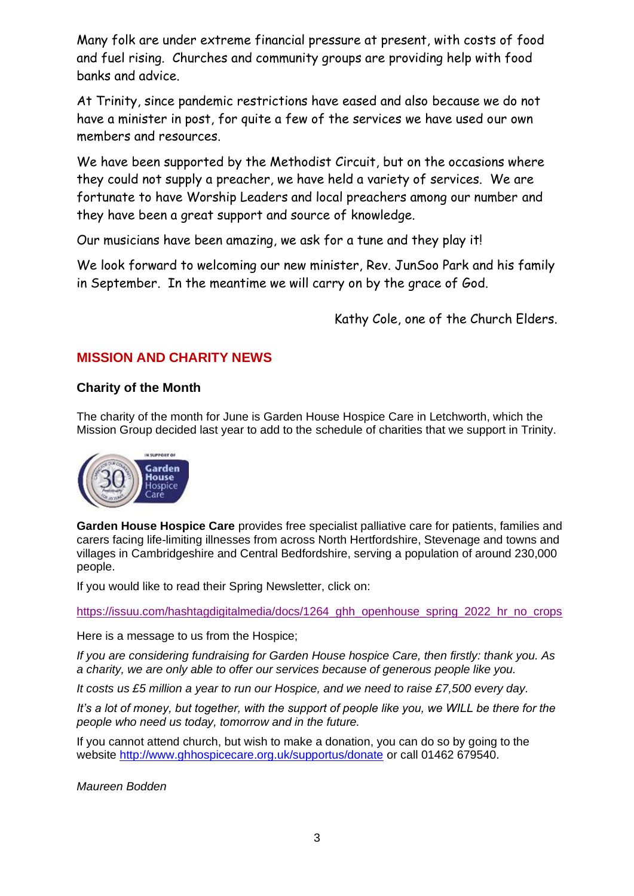Many folk are under extreme financial pressure at present, with costs of food and fuel rising. Churches and community groups are providing help with food banks and advice.

At Trinity, since pandemic restrictions have eased and also because we do not have a minister in post, for quite a few of the services we have used our own members and resources.

We have been supported by the Methodist Circuit, but on the occasions where they could not supply a preacher, we have held a variety of services. We are fortunate to have Worship Leaders and local preachers among our number and they have been a great support and source of knowledge.

Our musicians have been amazing, we ask for a tune and they play it!

We look forward to welcoming our new minister, Rev. JunSoo Park and his family in September. In the meantime we will carry on by the grace of God.

Kathy Cole, one of the Church Elders.

## **MISSION AND CHARITY NEWS**

#### **Charity of the Month**

The charity of the month for June is Garden House Hospice Care in Letchworth, which the Mission Group decided last year to add to the schedule of charities that we support in Trinity.



**Garden House Hospice Care** provides free specialist palliative care for patients, families and carers facing life-limiting illnesses from across North Hertfordshire, Stevenage and towns and villages in Cambridgeshire and Central Bedfordshire, serving a population of around 230,000 people.

If you would like to read their Spring Newsletter, click on:

[https://issuu.com/hashtagdigitalmedia/docs/1264\\_ghh\\_openhouse\\_spring\\_2022\\_hr\\_no\\_crops](https://issuu.com/hashtagdigitalmedia/docs/1264_ghh_openhouse_spring_2022_hr_no_crops)

Here is a message to us from the Hospice;

*If you are considering fundraising for Garden House hospice Care, then firstly: thank you. As a charity, we are only able to offer our services because of generous people like you.*

*It costs us £5 million a year to run our Hospice, and we need to raise £7,500 every day.*

*It's a lot of money, but together, with the support of people like you, we WILL be there for the people who need us today, tomorrow and in the future.*

If you cannot attend church, but wish to make a donation, you can do so by going to the website<http://www.ghhospicecare.org.uk/supportus/donate> or call 01462 679540.

*Maureen Bodden*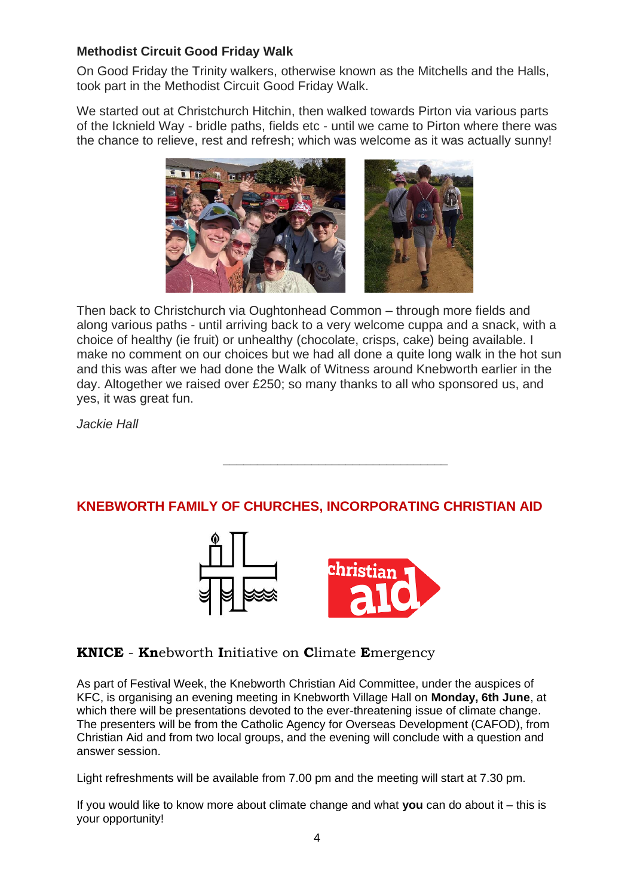## **Methodist Circuit Good Friday Walk**

On Good Friday the Trinity walkers, otherwise known as the Mitchells and the Halls, took part in the Methodist Circuit Good Friday Walk.

We started out at Christchurch Hitchin, then walked towards Pirton via various parts of the Icknield Way - bridle paths, fields etc - until we came to Pirton where there was the chance to relieve, rest and refresh; which was welcome as it was actually sunny!



Then back to Christchurch via Oughtonhead Common – through more fields and along various paths - until arriving back to a very welcome cuppa and a snack, with a choice of healthy (ie fruit) or unhealthy (chocolate, crisps, cake) being available. I make no comment on our choices but we had all done a quite long walk in the hot sun and this was after we had done the Walk of Witness around Knebworth earlier in the day. Altogether we raised over £250; so many thanks to all who sponsored us, and yes, it was great fun.

*Jackie Hall*

## **KNEBWORTH FAMILY OF CHURCHES, INCORPORATING CHRISTIAN AID**

*\_\_\_\_\_\_\_\_\_\_\_\_\_\_\_\_\_\_\_\_\_\_\_\_\_\_\_\_\_\_\_\_\_*



## **KNICE** - **Kn**ebworth **I**nitiative on **C**limate **E**mergency

As part of Festival Week, the Knebworth Christian Aid Committee, under the auspices of KFC, is organising an evening meeting in Knebworth Village Hall on **Monday, 6th June**, at which there will be presentations devoted to the ever-threatening issue of climate change. The presenters will be from the Catholic Agency for Overseas Development (CAFOD), from Christian Aid and from two local groups, and the evening will conclude with a question and answer session.

Light refreshments will be available from 7.00 pm and the meeting will start at 7.30 pm.

If you would like to know more about climate change and what **you** can do about it – this is your opportunity!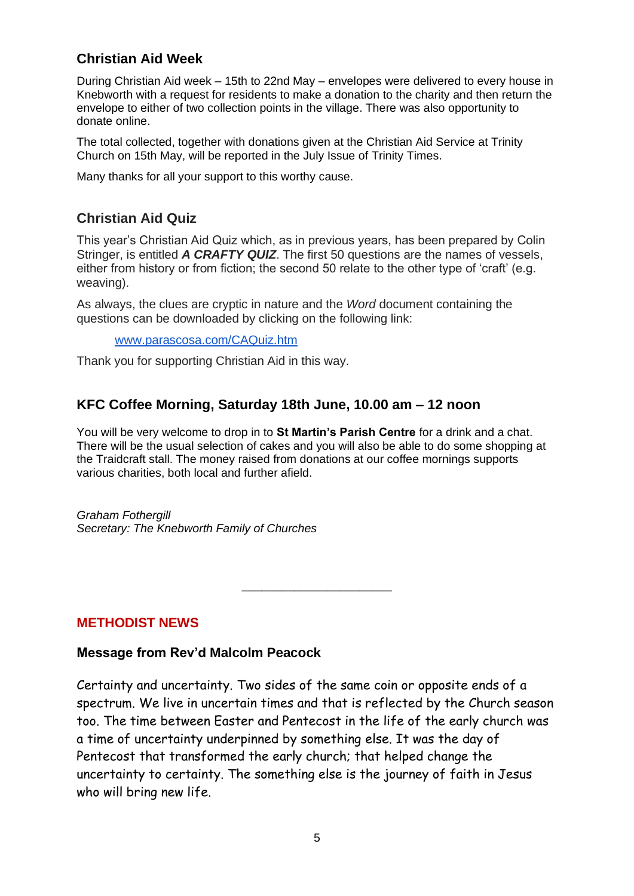## **Christian Aid Week**

During Christian Aid week – 15th to 22nd May – envelopes were delivered to every house in Knebworth with a request for residents to make a donation to the charity and then return the envelope to either of two collection points in the village. There was also opportunity to donate online.

The total collected, together with donations given at the Christian Aid Service at Trinity Church on 15th May, will be reported in the July Issue of Trinity Times.

Many thanks for all your support to this worthy cause.

## **Christian Aid Quiz**

This year's Christian Aid Quiz which, as in previous years, has been prepared by Colin Stringer, is entitled *A CRAFTY QUIZ*. The first 50 questions are the names of vessels, either from history or from fiction; the second 50 relate to the other type of 'craft' (e.g. weaving).

As always, the clues are cryptic in nature and the *Word* document containing the questions can be downloaded by clicking on the following link:

[www.parascosa.com/CAQuiz.htm](http://www.parascosa.com/CAQuiz.htm)

Thank you for supporting Christian Aid in this way.

## **KFC Coffee Morning, Saturday 18th June, 10.00 am – 12 noon**

You will be very welcome to drop in to **St Martin's Parish Centre** for a drink and a chat. There will be the usual selection of cakes and you will also be able to do some shopping at the Traidcraft stall. The money raised from donations at our coffee mornings supports various charities, both local and further afield.

\_\_\_\_\_\_\_\_\_\_\_\_\_\_\_\_\_\_\_\_\_\_\_

*Graham Fothergill Secretary: The Knebworth Family of Churches*

**METHODIST NEWS**

## **Message from Rev'd Malcolm Peacock**

Certainty and uncertainty. Two sides of the same coin or opposite ends of a spectrum. We live in uncertain times and that is reflected by the Church season too. The time between Easter and Pentecost in the life of the early church was a time of uncertainty underpinned by something else. It was the day of Pentecost that transformed the early church; that helped change the uncertainty to certainty. The something else is the journey of faith in Jesus who will bring new life.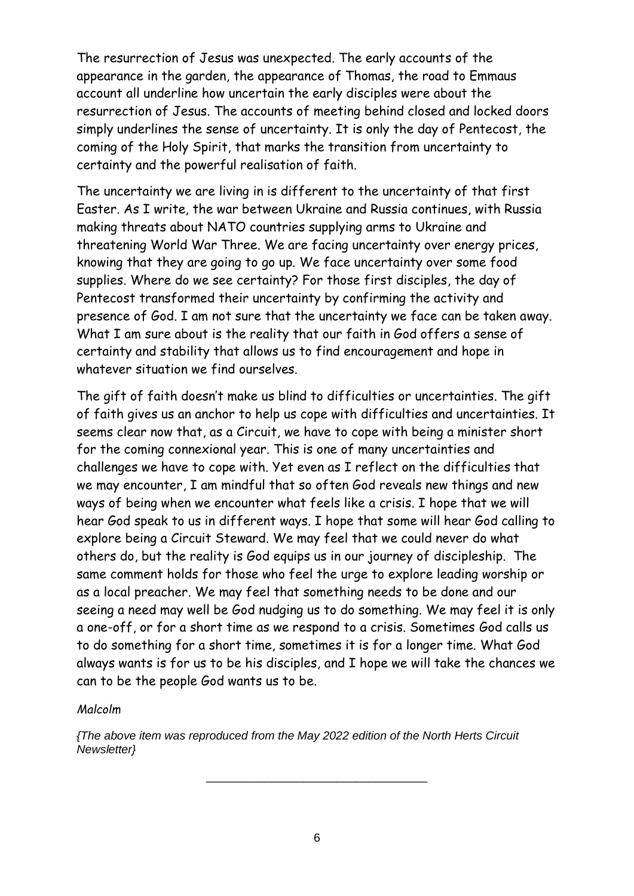The resurrection of Jesus was unexpected. The early accounts of the appearance in the garden, the appearance of Thomas, the road to Emmaus account all underline how uncertain the early disciples were about the resurrection of Jesus. The accounts of meeting behind closed and locked doors simply underlines the sense of uncertainty. It is only the day of Pentecost, the coming of the Holy Spirit, that marks the transition from uncertainty to certainty and the powerful realisation of faith.

The uncertainty we are living in is different to the uncertainty of that first Easter. As I write, the war between Ukraine and Russia continues, with Russia making threats about NATO countries supplying arms to Ukraine and threatening World War Three. We are facing uncertainty over energy prices, knowing that they are going to go up. We face uncertainty over some food supplies. Where do we see certainty? For those first disciples, the day of Pentecost transformed their uncertainty by confirming the activity and presence of God. I am not sure that the uncertainty we face can be taken away. What I am sure about is the reality that our faith in God offers a sense of certainty and stability that allows us to find encouragement and hope in whatever situation we find ourselves.

The gift of faith doesn't make us blind to difficulties or uncertainties. The gift of faith gives us an anchor to help us cope with difficulties and uncertainties. It seems clear now that, as a Circuit, we have to cope with being a minister short for the coming connexional year. This is one of many uncertainties and challenges we have to cope with. Yet even as I reflect on the difficulties that we may encounter, I am mindful that so often God reveals new things and new ways of being when we encounter what feels like a crisis. I hope that we will hear God speak to us in different ways. I hope that some will hear God calling to explore being a Circuit Steward. We may feel that we could never do what others do, but the reality is God equips us in our journey of discipleship. The same comment holds for those who feel the urge to explore leading worship or as a local preacher. We may feel that something needs to be done and our seeing a need may well be God nudging us to do something. We may feel it is only a one-off, or for a short time as we respond to a crisis. Sometimes God calls us to do something for a short time, sometimes it is for a longer time. What God always wants is for us to be his disciples, and I hope we will take the chances we can to be the people God wants us to be.

## *Malcolm*

*{The above item was reproduced from the May 2022 edition of the North Herts Circuit Newsletter}*

\_\_\_\_\_\_\_\_\_\_\_\_\_\_\_\_\_\_\_\_\_\_\_\_\_\_\_\_\_\_\_\_\_\_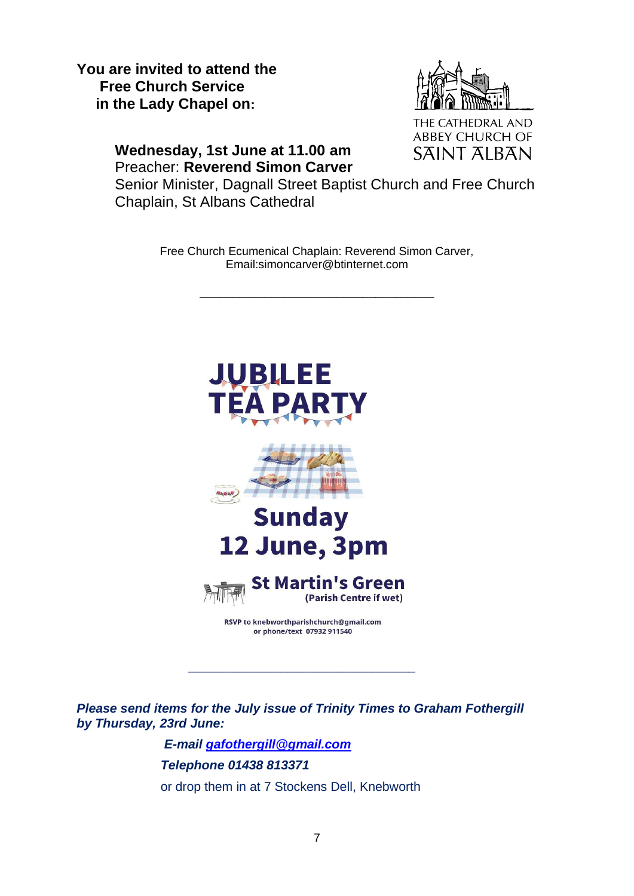**You are invited to attend the Free Church Service in the Lady Chapel on:** 



THE CATHEDRAL AND **ABBEY CHURCH OF SAINT ALBAN** 

## **Wednesday, 1st June at 11.00 am** Preacher: **Reverend Simon Carver**

Senior Minister, Dagnall Street Baptist Church and Free Church Chaplain, St Albans Cathedral

> Free Church Ecumenical Chaplain: Reverend Simon Carver, Email:simoncarver@btinternet.com

> > \_\_\_\_\_\_\_\_\_\_\_\_\_\_\_\_\_\_\_\_\_\_\_\_\_\_\_\_\_\_\_\_\_\_\_\_



*Please send items for the July issue of Trinity Times to Graham Fothergill by Thursday, 23rd June:*

**\_\_\_\_\_\_\_\_\_\_\_\_\_\_\_\_\_\_\_\_\_\_\_\_\_\_\_\_\_\_\_\_**

 *E-mail [gafothergill@gmail.com](mailto:gafothergill@gmail.com) Telephone 01438 813371* or drop them in at 7 Stockens Dell, Knebworth